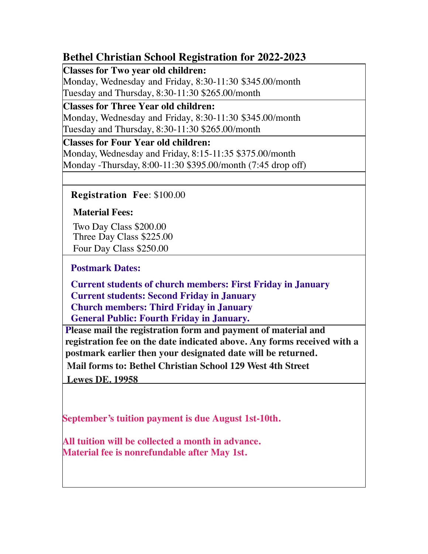## **Bethel Christian School Registration for 2022-2023**

**Classes for Two year old children:** 

 Monday, Wednesday and Friday, 8:30-11:30 \$345.00/month Tuesday and Thursday, 8:30-11:30 \$265.00/month

**Classes for Three Year old children:**  Monday, Wednesday and Friday, 8:30-11:30 \$345.00/month Tuesday and Thursday, 8:30-11:30 \$265.00/month

**Classes for Four Year old children:**  Monday, Wednesday and Friday, 8:15-11:35 \$375.00/month Monday -Thursday, 8:00-11:30 \$395.00/month (7:45 drop off)

 **Registration Fee**: \$100.00

**Material Fees:**

 Two Day Class \$200.00 Three Day Class \$225.00 Four Day Class \$250.00

**Postmark Dates:**

 **Current students of church members: First Friday in January Current students: Second Friday in January**

**Church members: Third Friday in January**

**General Public: Fourth Friday in January.**

 **registration fee on the date indicated above. Any forms received with a postmark earlier then your designated date will be returned. Please mail the registration form and payment of material and**

 **Mail forms to: Bethel Christian School 129 West 4th Street**

 **Lewes DE. 19958**

 **September's tuition payment is due August 1st-10th.**

 **Material fee is nonrefundable after May 1st. All tuition will be collected a month in advance.**